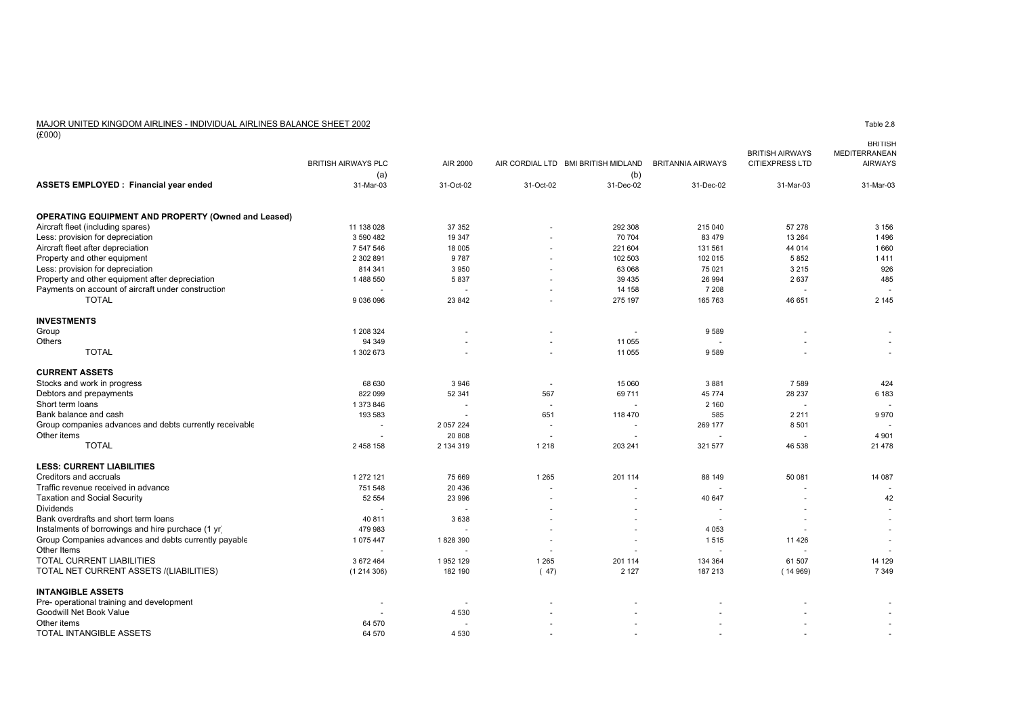# MAJOR UNITED KINGDOM AIRLINES - INDIVIDUAL AIRLINES BALANCE SHEET 2002

 $\frac{10000}{(£000)}$ 

|                                                            |                            |           |           |                                     |                          |                                                  | <b>BRITISH</b>                  |
|------------------------------------------------------------|----------------------------|-----------|-----------|-------------------------------------|--------------------------|--------------------------------------------------|---------------------------------|
|                                                            | <b>BRITISH AIRWAYS PLC</b> | AIR 2000  |           | AIR CORDIAL LTD BMI BRITISH MIDLAND | <b>BRITANNIA AIRWAYS</b> | <b>BRITISH AIRWAYS</b><br><b>CITIEXPRESS LTD</b> | MEDITERRANEAN<br><b>AIRWAYS</b> |
|                                                            | (a)                        |           |           | (b)                                 |                          |                                                  |                                 |
| <b>ASSETS EMPLOYED: Financial year ended</b>               | 31-Mar-03                  | 31-Oct-02 | 31-Oct-02 | 31-Dec-02                           | 31-Dec-02                | 31-Mar-03                                        | 31-Mar-03                       |
| <b>OPERATING EQUIPMENT AND PROPERTY (Owned and Leased)</b> |                            |           |           |                                     |                          |                                                  |                                 |
| Aircraft fleet (including spares)                          | 11 138 028                 | 37 352    |           | 292 308                             | 215 040                  | 57 278                                           | 3 1 5 6                         |
| Less: provision for depreciation                           | 3 590 482                  | 19 347    |           | 70 704                              | 83 479                   | 13 2 64                                          | 1496                            |
| Aircraft fleet after depreciation                          | 7 547 546                  | 18 005    |           | 221 604                             | 131 561                  | 44 014                                           | 1660                            |
| Property and other equipment                               | 2 302 891                  | 9 7 8 7   |           | 102 503                             | 102 015                  | 5852                                             | 1411                            |
| Less: provision for depreciation                           | 814 341                    | 3 9 5 0   |           | 63 068                              | 75 0 21                  | 3 2 1 5                                          | 926                             |
| Property and other equipment after depreciation            | 1488 550                   | 5837      |           | 39 4 35                             | 26 994                   | 2 6 3 7                                          | 485                             |
| Payments on account of aircraft under construction         | $\sim$                     | $\sim$    |           | 14 158                              | 7 208                    | $\sim$                                           |                                 |
| <b>TOTAL</b>                                               | 9 036 096                  | 23 842    |           | 275 197                             | 165 763                  | 46 651                                           | 2 1 4 5                         |
| <b>INVESTMENTS</b>                                         |                            |           |           |                                     |                          |                                                  |                                 |
| Group                                                      | 1 208 324                  |           |           |                                     | 9589                     |                                                  |                                 |
| Others                                                     | 94 34 9                    |           |           | 11 055                              | $\sim$                   |                                                  |                                 |
| <b>TOTAL</b>                                               | 1 302 673                  |           |           | 11 055                              | 9589                     |                                                  |                                 |
| <b>CURRENT ASSETS</b>                                      |                            |           |           |                                     |                          |                                                  |                                 |
| Stocks and work in progress                                | 68 630                     | 3946      |           | 15 060                              | 3881                     | 7 5 8 9                                          | 424                             |
| Debtors and prepayments                                    | 822 099                    | 52 341    | 567       | 69711                               | 45 774                   | 28 237                                           | 6 183                           |
| Short term loans                                           | 1 373 846                  |           |           |                                     | 2 1 6 0                  |                                                  |                                 |
| Bank balance and cash                                      | 193 583                    |           | 651       | 118 470                             | 585                      | 2 2 1 1                                          | 9970                            |
| Group companies advances and debts currently receivable    | $\overline{a}$             | 2 057 224 |           |                                     | 269 177                  | 8 5 0 1                                          |                                 |
| Other items                                                |                            | 20 808    |           |                                     | $\sim$                   | $\overline{a}$                                   | 4 9 0 1                         |
| <b>TOTAL</b>                                               | 2 458 158                  | 2 134 319 | 1 2 1 8   | 203 241                             | 321 577                  | 46 538                                           | 21 4 78                         |
| <b>LESS: CURRENT LIABILITIES</b>                           |                            |           |           |                                     |                          |                                                  |                                 |
| Creditors and accruals                                     | 1 272 121                  | 75 669    | 1 2 6 5   | 201 114                             | 88 149                   | 50 081                                           | 14 087                          |
| Traffic revenue received in advance                        | 751 548                    | 20 4 36   |           |                                     | $\sim$                   |                                                  |                                 |
| <b>Taxation and Social Security</b>                        | 52 554                     | 23 996    |           |                                     | 40 647                   |                                                  | 42                              |
| <b>Dividends</b>                                           |                            |           |           |                                     | $\overline{a}$           |                                                  |                                 |
| Bank overdrafts and short term loans                       | 40 811                     | 3638      |           |                                     | $\overline{a}$           |                                                  |                                 |
| Instalments of borrowings and hire purchace (1 yr)         | 479 983                    |           |           |                                     | 4 0 5 3                  |                                                  |                                 |
| Group Companies advances and debts currently payable       | 1 075 447                  | 1828390   |           |                                     | 1515                     | 11 4 26                                          |                                 |
| Other Items                                                |                            |           |           |                                     | $\overline{a}$           |                                                  |                                 |
| TOTAL CURRENT LIABILITIES                                  | 3 672 464                  | 1952129   | 1 2 6 5   | 201 114                             | 134 364                  | 61 507                                           | 14 129                          |
| TOTAL NET CURRENT ASSETS /(LIABILITIES)                    | (1214306)                  | 182 190   | (47)      | 2 1 2 7                             | 187 213                  | (14969)                                          | 7 3 4 9                         |
| <b>INTANGIBLE ASSETS</b>                                   |                            |           |           |                                     |                          |                                                  |                                 |
| Pre- operational training and development                  | $\overline{\phantom{a}}$   |           |           |                                     |                          |                                                  |                                 |
| Goodwill Net Book Value                                    |                            | 4 5 3 0   |           |                                     |                          |                                                  |                                 |
| Other items                                                | 64 570                     |           |           |                                     |                          |                                                  |                                 |
| <b>TOTAL INTANGIBLE ASSETS</b>                             | 64 570                     | 4 5 3 0   |           |                                     |                          |                                                  |                                 |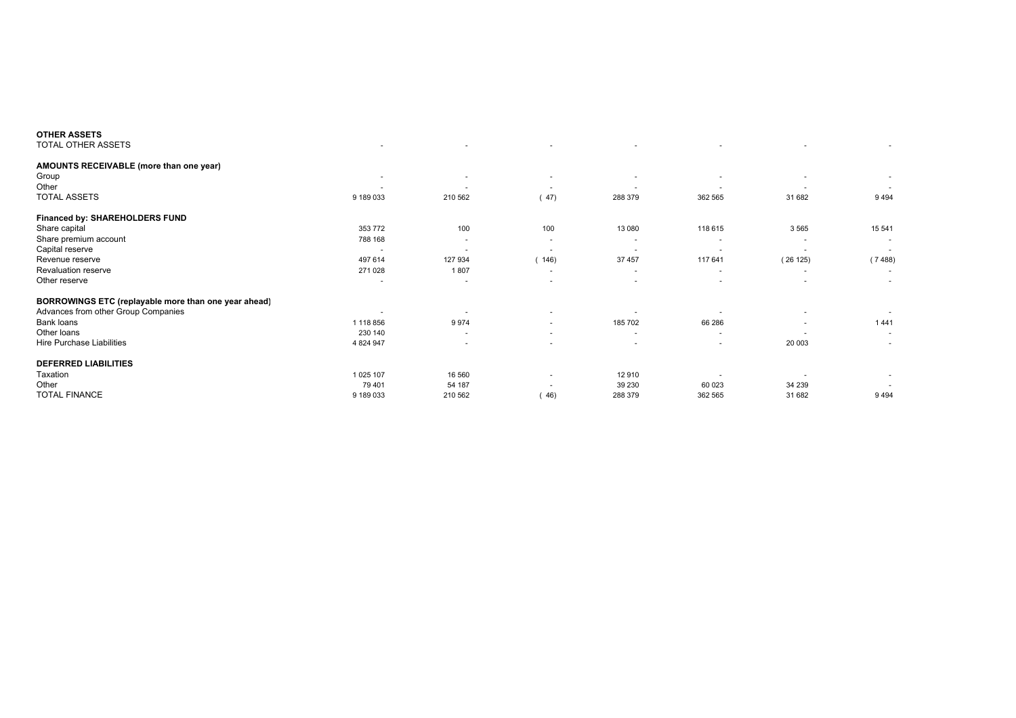|                          |                | $\overline{\phantom{a}}$ |                          |         |                          |        |
|--------------------------|----------------|--------------------------|--------------------------|---------|--------------------------|--------|
|                          |                |                          |                          |         |                          |        |
| $\overline{\phantom{a}}$ |                | $\overline{\phantom{a}}$ |                          |         |                          |        |
| $\overline{\phantom{a}}$ |                | $\overline{\phantom{a}}$ |                          |         | $\overline{\phantom{a}}$ |        |
| 9 189 033                | 210 562        | 47)                      | 288 379                  | 362 565 | 31 682                   | 9494   |
|                          |                |                          |                          |         |                          |        |
| 353 772                  | 100            | 100                      | 13 080                   | 118 615 | 3565                     | 15 541 |
| 788 168                  | $\sim$         | $\sim$                   |                          |         | $\overline{\phantom{a}}$ |        |
|                          |                | $\overline{\phantom{a}}$ | ٠                        |         |                          | $\sim$ |
| 497 614                  | 127 934        | 146)                     | 37 457                   | 117 641 | (26125)                  | (7488) |
| 271 028                  | 1807           | $\overline{\phantom{a}}$ | $\overline{\phantom{a}}$ |         | $\overline{\phantom{a}}$ |        |
| ٠                        |                | $\overline{\phantom{a}}$ | $\overline{\phantom{a}}$ |         | $\overline{\phantom{a}}$ |        |
|                          |                |                          |                          |         |                          |        |
|                          | $\overline{a}$ | $\overline{\phantom{a}}$ |                          |         | $\overline{\phantom{a}}$ |        |
| 1 118 856                | 9974           | ٠                        | 185 702                  | 66 286  |                          | 1441   |
| 230 140                  | $\sim$         | $\overline{\phantom{a}}$ | ٠                        |         |                          | $\sim$ |
| 4 824 947                |                |                          |                          |         | 20 003                   |        |
|                          |                |                          |                          |         |                          |        |
| 1 025 107                | 16 560         | ٠                        | 12910                    |         |                          | $\sim$ |
| 79 401                   | 54 187         | $\overline{\phantom{a}}$ | 39 230                   | 60 023  | 34 239                   |        |
| 9 189 033                | 210 562        | (46)                     | 288 379                  | 362 565 | 31 682                   | 9494   |
|                          |                |                          |                          |         |                          |        |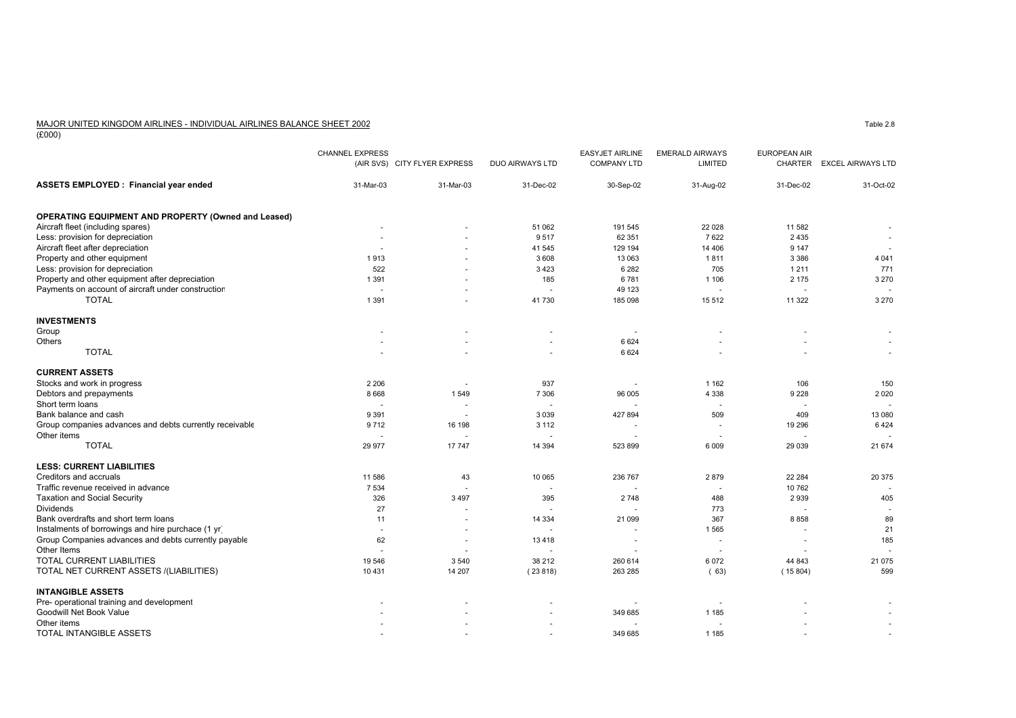## MAJOR UNITED KINGDOM AIRLINES - INDIVIDUAL AIRLINES BALANCE SHEET 2002

 $\frac{10000}{(£000)}$ 

|                                                            | <b>CHANNEL EXPRESS</b>   | (AIR SVS) CITY FLYER EXPRESS | DUO AIRWAYS LTD | <b>EASYJET AIRLINE</b><br><b>COMPANY LTD</b> | <b>EMERALD AIRWAYS</b><br>LIMITED | <b>EUROPEAN AIR</b> | CHARTER EXCEL AIRWAYS LTD |
|------------------------------------------------------------|--------------------------|------------------------------|-----------------|----------------------------------------------|-----------------------------------|---------------------|---------------------------|
| ASSETS EMPLOYED : Financial year ended                     | 31-Mar-03                | 31-Mar-03                    | 31-Dec-02       | 30-Sep-02                                    | 31-Aug-02                         | 31-Dec-02           | 31-Oct-02                 |
| <b>OPERATING EQUIPMENT AND PROPERTY (Owned and Leased)</b> |                          |                              |                 |                                              |                                   |                     |                           |
| Aircraft fleet (including spares)                          |                          |                              | 51 062          | 191 545                                      | 22 0 28                           | 11 582              |                           |
| Less: provision for depreciation                           |                          |                              | 9517            | 62 351                                       | 7622                              | 2 4 3 5             |                           |
| Aircraft fleet after depreciation                          |                          |                              | 41 545          | 129 194                                      | 14 40 6                           | 9 1 4 7             |                           |
| Property and other equipment                               | 1913                     |                              | 3608            | 13 063                                       | 1811                              | 3 3 8 6             | 4 0 4 1                   |
| Less: provision for depreciation                           | 522                      | ٠                            | 3423            | 6 2 8 2                                      | 705                               | 1 2 1 1             | 771                       |
| Property and other equipment after depreciation            | 1 3 9 1                  |                              | 185             | 6781                                         | 1 1 0 6                           | 2 1 7 5             | 3 2 7 0                   |
| Payments on account of aircraft under construction         |                          |                              |                 | 49 123                                       | $\ddot{\phantom{1}}$              | $\overline{a}$      |                           |
| <b>TOTAL</b>                                               | 1 3 9 1                  |                              | 41730           | 185 098                                      | 15 5 12                           | 11 3 22             | 3 2 7 0                   |
| <b>INVESTMENTS</b>                                         |                          |                              |                 |                                              |                                   |                     |                           |
| Group                                                      |                          |                              |                 |                                              |                                   |                     |                           |
| Others                                                     |                          |                              |                 | 6 6 2 4                                      |                                   |                     |                           |
| <b>TOTAL</b>                                               |                          |                              | ٠               | 6 6 2 4                                      |                                   |                     |                           |
| <b>CURRENT ASSETS</b>                                      |                          |                              |                 |                                              |                                   |                     |                           |
| Stocks and work in progress                                | 2 2 0 6                  | $\overline{\phantom{a}}$     | 937             |                                              | 1 1 6 2                           | 106                 | 150                       |
| Debtors and prepayments                                    | 8 6 6 8                  | 1549                         | 7 3 0 6         | 96 005                                       | 4 3 3 8                           | 9 2 2 8             | 2 0 2 0                   |
| Short term loans                                           | $\overline{\phantom{a}}$ | $\overline{\phantom{a}}$     |                 |                                              | $\overline{\phantom{a}}$          |                     |                           |
| Bank balance and cash                                      | 9 3 9 1                  | $\sim$                       | 3 0 3 9         | 427 894                                      | 509                               | 409                 | 13 080                    |
| Group companies advances and debts currently receivable    | 9712                     | 16 198                       | 3 1 1 2         |                                              | $\overline{\phantom{a}}$          | 19 29 6             | 6424                      |
| Other items                                                |                          |                              |                 |                                              |                                   |                     |                           |
| <b>TOTAL</b>                                               | 29 977                   | 17747                        | 14 3 94         | 523 899                                      | 6 0 0 9                           | 29 0 39             | 21 674                    |
| <b>LESS: CURRENT LIABILITIES</b>                           |                          |                              |                 |                                              |                                   |                     |                           |
| Creditors and accruals                                     | 11 586                   | 43                           | 10 065          | 236 767                                      | 2879                              | 22 2 84             | 20 375                    |
| Traffic revenue received in advance                        | 7 5 3 4                  |                              |                 |                                              | $\sim$                            | 10 762              |                           |
| <b>Taxation and Social Security</b>                        | 326                      | 3 4 9 7                      | 395             | 2748                                         | 488                               | 2 9 3 9             | 405                       |
| <b>Dividends</b>                                           | 27                       |                              |                 |                                              | 773                               |                     |                           |
| Bank overdrafts and short term loans                       | 11                       |                              | 14 3 34         | 21 099                                       | 367                               | 8 8 5 8             | 89                        |
| Instalments of borrowings and hire purchace (1 yr)         | $\sim$                   | ٠                            |                 | $\overline{\phantom{a}}$                     | 1565                              | $\sim$              | 21                        |
| Group Companies advances and debts currently payable       | 62                       | ÷,                           | 13418           |                                              | $\ddot{\phantom{1}}$              | $\overline{a}$      | 185                       |
| Other Items                                                |                          |                              |                 |                                              | $\overline{\phantom{a}}$          |                     |                           |
| TOTAL CURRENT LIABILITIES                                  | 19 546                   | 3540                         | 38 212          | 260 614                                      | 6 0 7 2                           | 44 843              | 21 0 75                   |
| TOTAL NET CURRENT ASSETS /(LIABILITIES)                    | 10 431                   | 14 207                       | (23818)         | 263 285                                      | (63)                              | (15804)             | 599                       |
| <b>INTANGIBLE ASSETS</b>                                   |                          |                              |                 |                                              |                                   |                     |                           |
| Pre- operational training and development                  |                          |                              |                 |                                              |                                   |                     |                           |
| Goodwill Net Book Value                                    |                          |                              |                 | 349 685                                      | 1 1 8 5                           |                     |                           |
| Other items                                                |                          |                              |                 |                                              |                                   |                     |                           |
| TOTAL INTANGIBLE ASSETS                                    |                          |                              |                 | 349 685                                      | 1 1 8 5                           |                     |                           |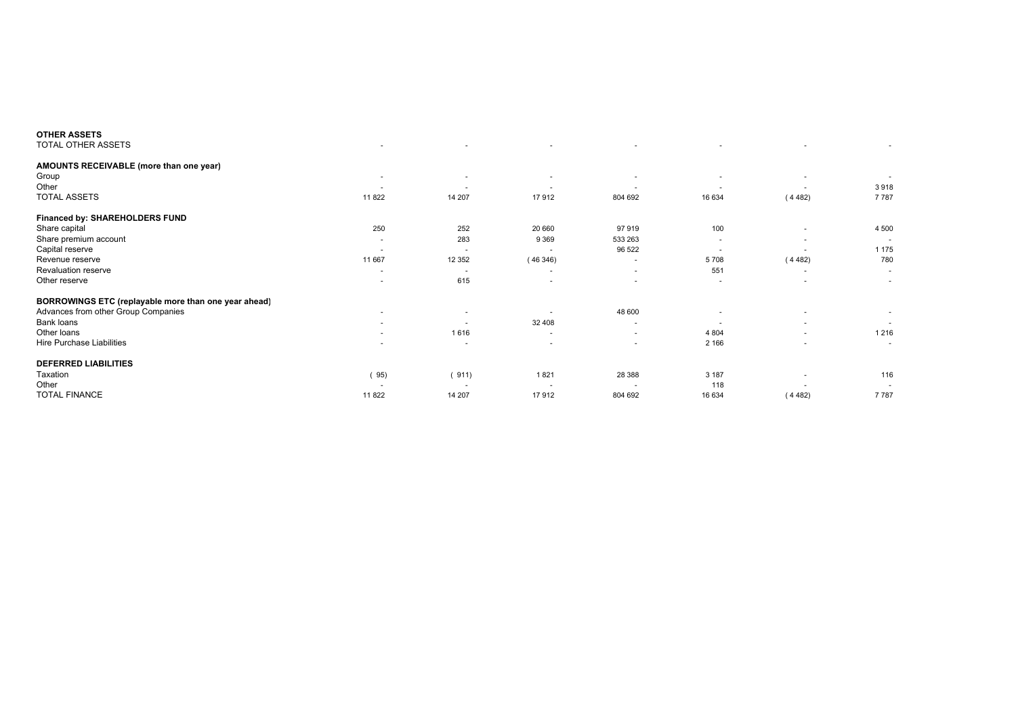|                          |                | $\overline{\phantom{a}}$ |                          |                          | $\overline{\phantom{a}}$ |         |
|--------------------------|----------------|--------------------------|--------------------------|--------------------------|--------------------------|---------|
|                          |                |                          |                          |                          |                          |         |
| ٠                        | $\sim$         | $\overline{\phantom{a}}$ |                          |                          | $\overline{\phantom{a}}$ |         |
| $\overline{\phantom{a}}$ | $\overline{a}$ | $\sim$                   | $\overline{\phantom{a}}$ | $\overline{a}$           |                          | 3918    |
| 11 822                   | 14 207         | 17912                    | 804 692                  | 16 634                   | (4482)                   | 7787    |
|                          |                |                          |                          |                          |                          |         |
| 250                      | 252            | 20 660                   | 97919                    | 100                      |                          | 4 500   |
| ٠                        | 283            | 9 3 6 9                  | 533 263                  | $\overline{\phantom{a}}$ | $\overline{\phantom{a}}$ |         |
| $\overline{\phantom{a}}$ | $\sim$         | <b>.</b>                 | 96 522                   | $\overline{\phantom{a}}$ |                          | 1 1 7 5 |
| 11 667                   | 12 3 5 2       | (46346)                  | ٠                        | 5708                     | (4482)                   | 780     |
| ٠                        | $\sim$         | $\overline{\phantom{a}}$ | ٠                        | 551                      | $\overline{\phantom{a}}$ | $\sim$  |
| ٠                        | 615            | $\overline{\phantom{a}}$ | ٠                        | $\overline{\phantom{a}}$ | $\overline{\phantom{a}}$ | $\sim$  |
|                          |                |                          |                          |                          |                          |         |
| $\overline{\phantom{a}}$ | $\overline{a}$ |                          | 48 600                   |                          | $\overline{\phantom{a}}$ |         |
| ٠                        |                | 32 408                   | ٠                        |                          | $\overline{\phantom{a}}$ | $\sim$  |
| $\overline{a}$           | 1616           | $\sim$                   | $\sim$                   | 4 8 0 4                  | $\overline{a}$           | 1 2 1 6 |
|                          |                | $\overline{\phantom{a}}$ | ٠                        | 2 1 6 6                  | ٠                        | ٠       |
|                          |                |                          |                          |                          |                          |         |
| (95)                     | (911)          | 1821                     | 28 388                   | 3 1 8 7                  | $\overline{\phantom{a}}$ | 116     |
| $\overline{\phantom{a}}$ |                | <b>.</b>                 |                          | 118                      |                          |         |
| 11 822                   | 14 207         | 17912                    | 804 692                  | 16 634                   | (4482)                   | 7787    |
|                          |                |                          |                          |                          |                          |         |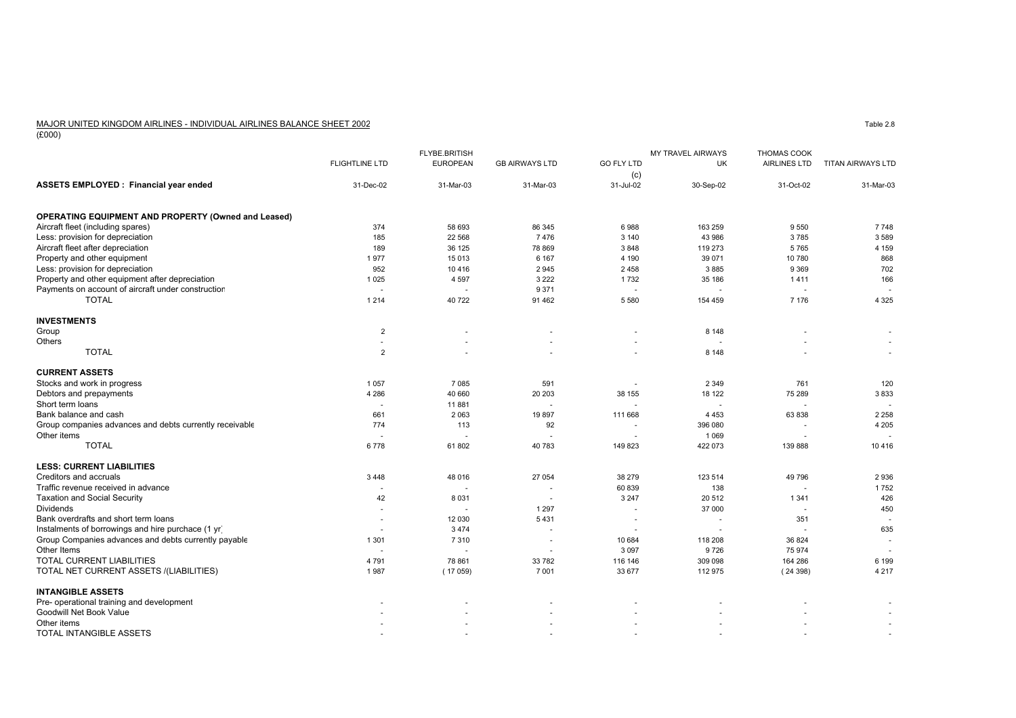### MAJOR UNITED KINGDOM AIRLINES - INDIVIDUAL AIRLINES BALANCE SHEET 2002

 $\frac{10000}{(£000)}$ 

|                                                                                            |                       | <b>FLYBE.BRITISH</b>     |                          |                          | <b>MY TRAVEL AIRWAYS</b><br><b>THOMAS COOK</b> |              |                          |  |
|--------------------------------------------------------------------------------------------|-----------------------|--------------------------|--------------------------|--------------------------|------------------------------------------------|--------------|--------------------------|--|
|                                                                                            | <b>FLIGHTLINE LTD</b> | <b>EUROPEAN</b>          | <b>GB AIRWAYS LTD</b>    | <b>GO FLY LTD</b>        | <b>UK</b>                                      | AIRLINES LTD | <b>TITAN AIRWAYS LTD</b> |  |
|                                                                                            |                       |                          |                          | (c)                      |                                                |              |                          |  |
| ASSETS EMPLOYED : Financial year ended                                                     | 31-Dec-02             | 31-Mar-03                | 31-Mar-03                | 31-Jul-02                | 30-Sep-02                                      | 31-Oct-02    | 31-Mar-03                |  |
| <b>OPERATING EQUIPMENT AND PROPERTY (Owned and Leased)</b>                                 |                       |                          |                          |                          |                                                |              |                          |  |
| Aircraft fleet (including spares)                                                          | 374                   | 58 693                   | 86 345                   | 6988                     | 163 259                                        | 9550         | 7748                     |  |
| Less: provision for depreciation                                                           | 185                   | 22 5 68                  | 7476                     | 3 1 4 0                  | 43 986                                         | 3785         | 3589                     |  |
| Aircraft fleet after depreciation                                                          | 189                   | 36 125                   | 78 869                   | 3848                     | 119 273                                        | 5765         | 4 1 5 9                  |  |
| Property and other equipment                                                               | 1977                  | 15 013                   | 6 1 6 7                  | 4 1 9 0                  | 39 071                                         | 10 780       | 868                      |  |
| Less: provision for depreciation                                                           | 952                   | 10 4 16                  | 2945                     | 2 4 5 8                  | 3885                                           | 9 3 6 9      | 702                      |  |
| Property and other equipment after depreciation                                            | 1 0 2 5               | 4 5 9 7                  | 3 2 2 2                  | 1732                     | 35 186                                         | 1411         | 166                      |  |
| Payments on account of aircraft under construction                                         |                       | $\overline{\phantom{a}}$ | 9 3 7 1                  |                          |                                                |              |                          |  |
| <b>TOTAL</b>                                                                               | 1 2 1 4               | 40722                    | 91 4 62                  | 5 5 8 0                  | 154 459                                        | 7 1 7 6      | 4 3 2 5                  |  |
| <b>INVESTMENTS</b>                                                                         |                       |                          |                          |                          |                                                |              |                          |  |
| Group                                                                                      | $\overline{2}$        |                          |                          |                          | 8 1 4 8                                        |              |                          |  |
| Others                                                                                     | $\sim$                |                          |                          | $\overline{a}$           |                                                |              |                          |  |
| <b>TOTAL</b>                                                                               | 2                     |                          |                          |                          | 8 1 4 8                                        |              |                          |  |
| <b>CURRENT ASSETS</b>                                                                      |                       |                          |                          |                          |                                                |              |                          |  |
| Stocks and work in progress                                                                | 1 0 5 7               | 7 0 8 5                  | 591                      |                          | 2 3 4 9                                        | 761          | 120                      |  |
| Debtors and prepayments                                                                    | 4 2 8 6               | 40 660                   | 20 20 3                  | 38 155                   | 18 122                                         | 75 289       | 3833                     |  |
| Short term loans                                                                           |                       | 11881                    |                          |                          |                                                |              |                          |  |
| Bank balance and cash                                                                      | 661                   | 2063                     | 19897                    | 111 668                  | 4 4 5 3                                        | 63 838       | 2 2 5 8                  |  |
| Group companies advances and debts currently receivable                                    | 774                   | 113                      | 92                       | $\sim$                   | 396 080                                        |              | 4 2 0 5                  |  |
| Other items                                                                                |                       | ٠                        |                          |                          | 1 0 6 9                                        |              |                          |  |
| <b>TOTAL</b>                                                                               | 6778                  | 61 802                   | 40 783                   | 149 823                  | 422 073                                        | 139 888      | 10416                    |  |
| <b>LESS: CURRENT LIABILITIES</b>                                                           |                       |                          |                          |                          |                                                |              |                          |  |
| Creditors and accruals                                                                     | 3 4 4 8               | 48 016                   | 27 054                   | 38 279                   | 123 514                                        | 49 796       | 2936                     |  |
| Traffic revenue received in advance                                                        | $\ddot{\phantom{1}}$  | ۰.                       |                          | 60 839                   | 138                                            |              | 1752                     |  |
| <b>Taxation and Social Security</b>                                                        | 42                    | 8 0 3 1                  |                          | 3 2 4 7                  | 20 512                                         | 1 3 4 1      | 426                      |  |
| <b>Dividends</b>                                                                           | $\blacksquare$        |                          | 1 2 9 7                  |                          | 37 000                                         |              | 450                      |  |
| Bank overdrafts and short term loans<br>Instalments of borrowings and hire purchace (1 yr) | $\sim$                | 12 030                   | 5431                     | $\overline{\phantom{a}}$ |                                                | 351          | 635                      |  |
| Group Companies advances and debts currently payable                                       | ÷,<br>1 3 0 1         | 3 4 7 4<br>7310          | $\sim$<br>$\overline{a}$ | $\overline{a}$<br>10 684 | 118 208                                        | 36 824       | u.                       |  |
| Other Items                                                                                |                       |                          |                          | 3 0 9 7                  | 9726                                           | 75 974       |                          |  |
| TOTAL CURRENT LIABILITIES                                                                  | 4 7 9 1               | 78 861                   | 33 782                   | 116 146                  | 309 098                                        | 164 286      | 6 1 9 9                  |  |
| TOTAL NET CURRENT ASSETS /(LIABILITIES)                                                    | 1987                  | (17059)                  | 7 0 0 1                  | 33 677                   | 112 975                                        | (24398)      | 4 2 1 7                  |  |
| <b>INTANGIBLE ASSETS</b>                                                                   |                       |                          |                          |                          |                                                |              |                          |  |
| Pre- operational training and development                                                  |                       |                          |                          |                          |                                                |              |                          |  |
| Goodwill Net Book Value                                                                    |                       |                          |                          |                          |                                                |              |                          |  |
| Other items                                                                                |                       |                          |                          |                          |                                                |              |                          |  |
| TOTAL INTANGIBLE ASSETS                                                                    |                       |                          |                          |                          |                                                |              |                          |  |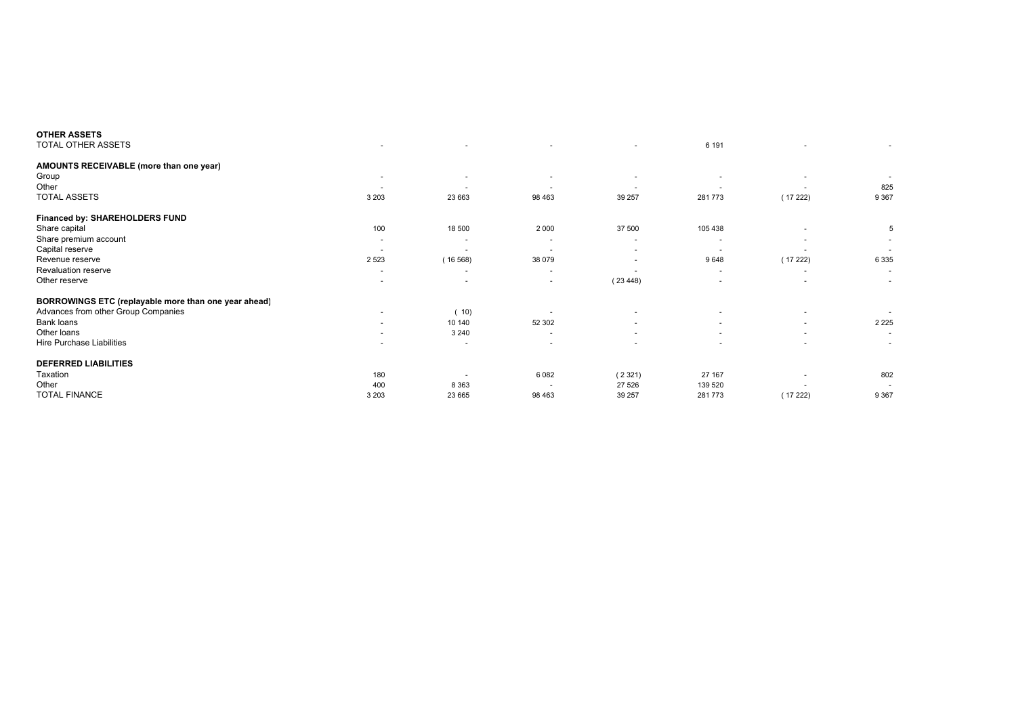| <b>OTHER ASSETS</b>                                  |                          |                          |                          |                          |                          |                          |         |
|------------------------------------------------------|--------------------------|--------------------------|--------------------------|--------------------------|--------------------------|--------------------------|---------|
| TOTAL OTHER ASSETS                                   | ٠                        |                          | ٠                        | ۰                        | 6 1 9 1                  |                          |         |
| AMOUNTS RECEIVABLE (more than one year)              |                          |                          |                          |                          |                          |                          |         |
| Group                                                | ٠                        | $\overline{\phantom{a}}$ | $\overline{\phantom{a}}$ |                          |                          | $\overline{\phantom{a}}$ |         |
| Other                                                | $\overline{\phantom{a}}$ | $\overline{a}$           | <b>.</b>                 |                          |                          |                          | 825     |
| <b>TOTAL ASSETS</b>                                  | 3 2 0 3                  | 23 663                   | 98 4 63                  | 39 257                   | 281 773                  | (17222)                  | 9 3 6 7 |
| Financed by: SHAREHOLDERS FUND                       |                          |                          |                          |                          |                          |                          |         |
| Share capital                                        | 100                      | 18 500                   | 2 0 0 0                  | 37 500                   | 105 438                  | $\overline{\phantom{a}}$ | 5       |
| Share premium account                                | $\overline{\phantom{a}}$ | $\overline{\phantom{a}}$ | $\sim$                   | $\overline{\phantom{a}}$ |                          | $\overline{\phantom{a}}$ |         |
| Capital reserve                                      | $\overline{\phantom{a}}$ |                          | $\sim$                   | ٠                        |                          | $\overline{\phantom{a}}$ |         |
| Revenue reserve                                      | 2 5 2 3                  | (16568)                  | 38 0 79                  | ٠                        | 9648                     | (17222)                  | 6 3 3 5 |
| Revaluation reserve                                  | ٠                        | $\overline{\phantom{a}}$ | $\sim$                   | $\overline{\phantom{a}}$ | $\overline{\phantom{a}}$ | $\overline{\phantom{a}}$ | $\sim$  |
| Other reserve                                        | ٠                        | $\overline{a}$           | ٠                        | (23448)                  |                          | $\overline{\phantom{a}}$ | $\sim$  |
| BORROWINGS ETC (replayable more than one year ahead) |                          |                          |                          |                          |                          |                          |         |
| Advances from other Group Companies                  | $\overline{\phantom{a}}$ | (10)                     |                          |                          |                          | ٠                        |         |
| Bank loans                                           | ٠                        | 10 140                   | 52 302                   |                          |                          | $\overline{\phantom{a}}$ | 2 2 2 5 |
| Other loans                                          | $\sim$                   | 3 2 4 0                  | $\sim$                   | $\overline{\phantom{a}}$ | $\overline{a}$           | $\overline{\phantom{a}}$ | $\sim$  |
| Hire Purchase Liabilities                            |                          |                          | $\overline{\phantom{a}}$ |                          |                          | $\overline{\phantom{a}}$ | $\sim$  |
| <b>DEFERRED LIABILITIES</b>                          |                          |                          |                          |                          |                          |                          |         |
| Taxation                                             | 180                      |                          | 6082                     | (2321)                   | 27 167                   |                          | 802     |
| Other                                                | 400                      | 8 3 6 3                  |                          | 27 5 26                  | 139 520                  |                          |         |
| <b>TOTAL FINANCE</b>                                 | 3 2 0 3                  | 23 665                   | 98 4 63                  | 39 257                   | 281 773                  | (17222)                  | 9 3 6 7 |
|                                                      |                          |                          |                          |                          |                          |                          |         |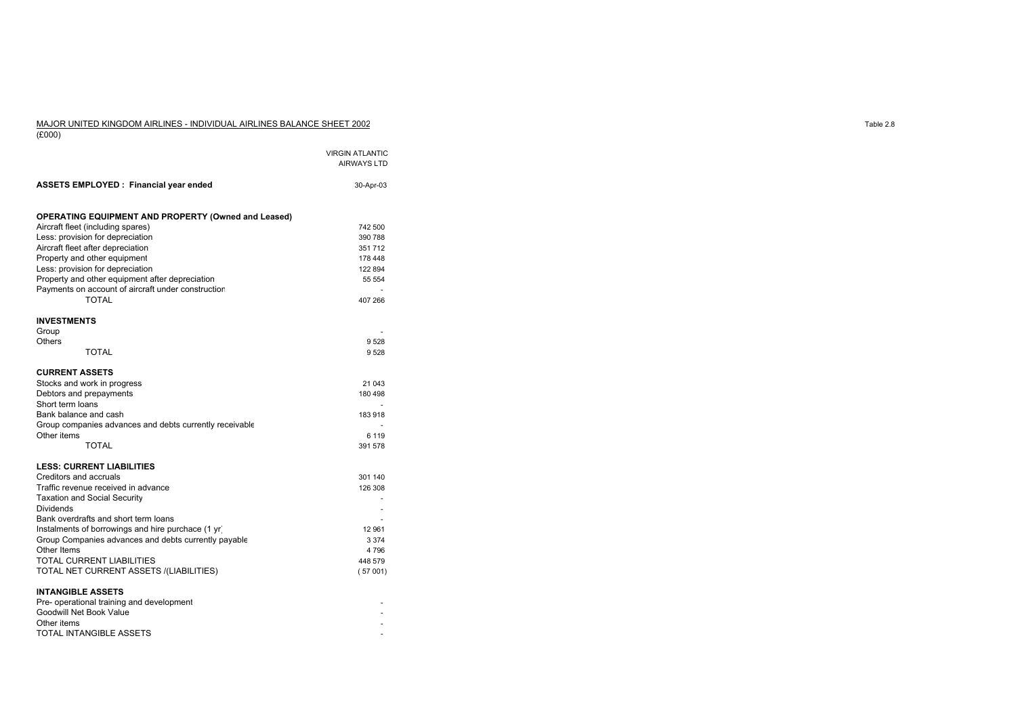#### MAJOR UNITED KINGDOM AIRLINES - INDIVIDUAL AIRLINES BALANCE SHEET 2002(£000)

|                                                                       | <b>VIRGIN ATLANTIC</b><br><b>AIRWAYS LTD</b> |
|-----------------------------------------------------------------------|----------------------------------------------|
| <b>ASSETS EMPLOYED: Financial year ended</b>                          | 30-Apr-03                                    |
| <b>OPERATING EQUIPMENT AND PROPERTY (Owned and Leased)</b>            |                                              |
| Aircraft fleet (including spares)                                     | 742 500                                      |
| Less: provision for depreciation<br>Aircraft fleet after depreciation | 390 788<br>351 712                           |
| Property and other equipment                                          | 178 448                                      |
| Less: provision for depreciation                                      | 122 894                                      |
| Property and other equipment after depreciation                       | 55 554                                       |
| Payments on account of aircraft under construction                    |                                              |
| <b>TOTAL</b>                                                          | 407 266                                      |
|                                                                       |                                              |
| <b>INVESTMENTS</b>                                                    |                                              |
| Group                                                                 |                                              |
| Others                                                                | 9528                                         |
| <b>TOTAL</b>                                                          | 9528                                         |
|                                                                       |                                              |
| <b>CURRENT ASSETS</b>                                                 |                                              |
| Stocks and work in progress                                           | 21 043                                       |
| Debtors and prepayments<br>Short term loans                           | 180 498                                      |
| Bank balance and cash                                                 | 183 918                                      |
| Group companies advances and debts currently receivable               |                                              |
| Other items                                                           | 6 1 1 9                                      |
| TOTAL                                                                 | 391 578                                      |
|                                                                       |                                              |
| <b>LESS: CURRENT LIABILITIES</b>                                      |                                              |
| Creditors and accruals                                                | 301 140                                      |
| Traffic revenue received in advance                                   | 126 308                                      |
| <b>Taxation and Social Security</b>                                   |                                              |
| <b>Dividends</b>                                                      | ٠                                            |
| Bank overdrafts and short term loans                                  |                                              |
| Instalments of borrowings and hire purchace (1 yr)                    | 12 961                                       |
| Group Companies advances and debts currently payable                  | 3 3 7 4                                      |
| Other Items<br>TOTAL CURRENT LIABILITIES                              | 4796                                         |
| TOTAL NET CURRENT ASSETS /(LIABILITIES)                               | 448 579<br>(57001)                           |
|                                                                       |                                              |
| <b>INTANGIBLE ASSETS</b>                                              |                                              |
| Pre- operational training and development                             |                                              |
| Goodwill Net Book Value                                               |                                              |
| Other items                                                           |                                              |
| TOTAL INTANGIBLE ASSETS                                               |                                              |